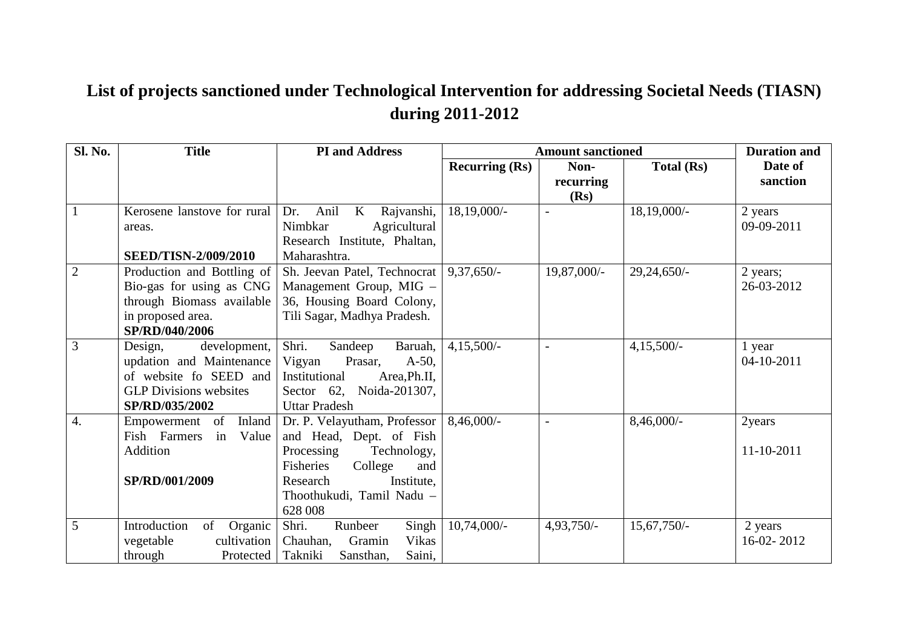## **List of projects sanctioned under Technological Intervention for addressing Societal Needs (TIASN) during 2011-2012**

| <b>Sl. No.</b>   | <b>Title</b>                  | <b>PI</b> and Address                               |                       | <b>Amount sanctioned</b> |                | <b>Duration and</b> |
|------------------|-------------------------------|-----------------------------------------------------|-----------------------|--------------------------|----------------|---------------------|
|                  |                               |                                                     | <b>Recurring (Rs)</b> | Non-                     | Total (Rs)     | Date of             |
|                  |                               |                                                     |                       | recurring                |                | sanction            |
|                  |                               |                                                     |                       | (Rs)                     |                |                     |
| $\mathbf{1}$     | Kerosene lanstove for rural   | Anil<br>$\mathbf{K}$<br>Rajvanshi,<br>Dr.           | 18,19,000/-           |                          | $18,19,000/$ - | 2 years             |
|                  | areas.                        | Nimbkar<br>Agricultural                             |                       |                          |                | 09-09-2011          |
|                  |                               | Research Institute, Phaltan,                        |                       |                          |                |                     |
|                  | <b>SEED/TISN-2/009/2010</b>   | Maharashtra.                                        |                       |                          |                |                     |
| $\overline{2}$   | Production and Bottling of    | Sh. Jeevan Patel, Technocrat   9,37,650/-           |                       | 19,87,000/-              | $29,24,650/-$  | 2 years;            |
|                  | Bio-gas for using as CNG      | Management Group, MIG -                             |                       |                          |                | 26-03-2012          |
|                  | through Biomass available     | 36, Housing Board Colony,                           |                       |                          |                |                     |
|                  | in proposed area.             | Tili Sagar, Madhya Pradesh.                         |                       |                          |                |                     |
|                  | SP/RD/040/2006                |                                                     |                       |                          |                |                     |
| $\overline{3}$   | Design,<br>development,       | Shri.<br>Sandeep<br>Baruah,                         | $4,15,500/-$          |                          | $4,15,500/-$   | 1 year              |
|                  | updation and Maintenance      | Prasar,<br>$A-50$ ,<br>Vigyan                       |                       |                          |                | 04-10-2011          |
|                  | of website fo SEED and        | Institutional<br>Area, Ph.II,                       |                       |                          |                |                     |
|                  | <b>GLP</b> Divisions websites | Sector $62$ ,<br>Noida-201307,                      |                       |                          |                |                     |
|                  | SP/RD/035/2002                | <b>Uttar Pradesh</b>                                |                       |                          |                |                     |
| $\overline{4}$ . | Empowerment of<br>Inland      | Dr. P. Velayutham, Professor $  8,46,000 \rangle$ - |                       | $\overline{a}$           | $8,46,000/$ -  | 2years              |
|                  | Fish Farmers<br>in<br>Value   | and Head, Dept. of Fish                             |                       |                          |                |                     |
|                  | Addition                      | Processing<br>Technology,                           |                       |                          |                | 11-10-2011          |
|                  |                               | Fisheries<br>College<br>and                         |                       |                          |                |                     |
|                  | SP/RD/001/2009                | Research<br>Institute.                              |                       |                          |                |                     |
|                  |                               | Thoothukudi, Tamil Nadu -                           |                       |                          |                |                     |
|                  |                               | 628 008                                             |                       |                          |                |                     |
| 5                | Introduction<br>of<br>Organic | Shri.<br>Singh<br>Runbeer                           | $10,74,000/-$         | 4,93,750/-               | $15,67,750/-$  | 2 years             |
|                  | vegetable<br>cultivation      | Vikas<br>Chauhan,<br>Gramin                         |                       |                          |                | 16-02-2012          |
|                  | through<br>Protected          | Saini,<br>Takniki<br>Sansthan,                      |                       |                          |                |                     |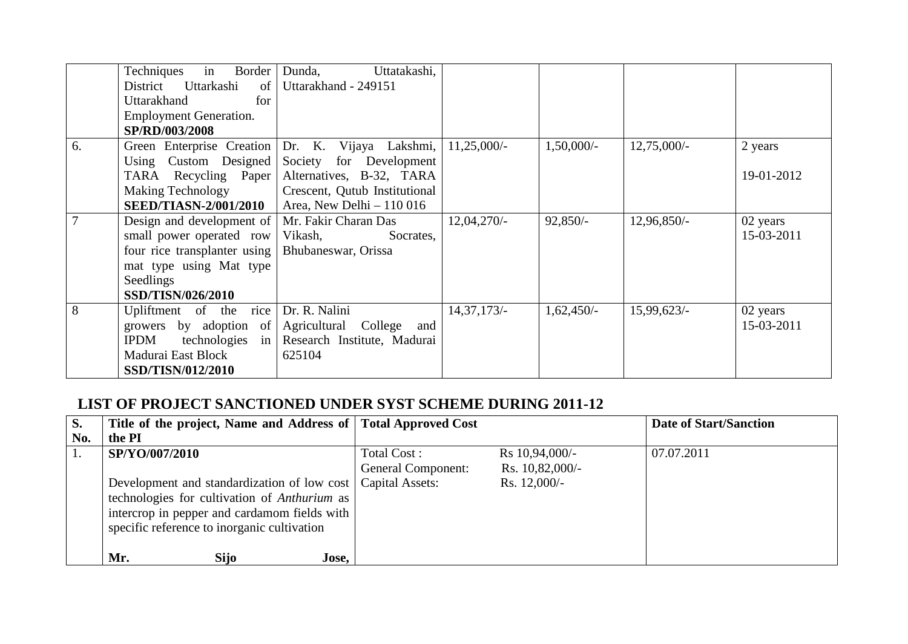|    | Techniques<br>in<br>Border<br>Uttarkashi<br>District<br>of<br>Uttarakhand<br>for<br><b>Employment Generation.</b><br>SP/RD/003/2008                | Dunda,<br>Uttatakashi,<br>Uttarakhand - 249151                                                                                              |               |              |               |                        |
|----|----------------------------------------------------------------------------------------------------------------------------------------------------|---------------------------------------------------------------------------------------------------------------------------------------------|---------------|--------------|---------------|------------------------|
| 6. | Green Enterprise Creation<br>Using Custom Designed<br>TARA Recycling Paper<br><b>Making Technology</b><br><b>SEED/TIASN-2/001/2010</b>             | Dr. K. Vijaya Lakshmi,<br>Society for Development<br>Alternatives, B-32, TARA<br>Crescent, Qutub Institutional<br>Area, New Delhi $-110016$ | $11,25,000/-$ | 1,50,000/-   | $12,75,000/-$ | 2 years<br>19-01-2012  |
|    | Design and development of<br>small power operated row<br>four rice transplanter using<br>mat type using Mat type<br>Seedlings<br>SSD/TISN/026/2010 | Mr. Fakir Charan Das<br>Vikash,<br>Socrates,<br>Bhubaneswar, Orissa                                                                         | $12,04,270/-$ | $92,850/-$   | $12,96,850/-$ | 02 years<br>15-03-2011 |
| 8  | rice<br>Upliftment of the<br>growers by adoption of<br><b>IPDM</b><br>$technologies$ in<br>Madurai East Block<br>SSD/TISN/012/2010                 | Dr. R. Nalini<br>Agricultural College<br>and<br>Research Institute, Madurai<br>625104                                                       | $14,37,173/-$ | $1,62,450/-$ | 15,99,623/    | 02 years<br>15-03-2011 |

## **LIST OF PROJECT SANCTIONED UNDER SYST SCHEME DURING 2011-12**

| S.  | Title of the project, Name and Address of   Total Approved Cost                                                                                                                                              |                                                             |                                                     | <b>Date of Start/Sanction</b> |
|-----|--------------------------------------------------------------------------------------------------------------------------------------------------------------------------------------------------------------|-------------------------------------------------------------|-----------------------------------------------------|-------------------------------|
| No. | the PI                                                                                                                                                                                                       |                                                             |                                                     |                               |
|     | SP/YO/007/2010<br>Development and standardization of low cost<br>technologies for cultivation of Anthurium as<br>intercrop in pepper and cardamom fields with<br>specific reference to inorganic cultivation | Total Cost:<br><b>General Component:</b><br>Capital Assets: | Rs 10,94,000/-<br>Rs. 10,82,000/-<br>Rs. $12,000/-$ | 07.07.2011                    |
|     | Mr.<br><b>Sijo</b><br>Jose,                                                                                                                                                                                  |                                                             |                                                     |                               |